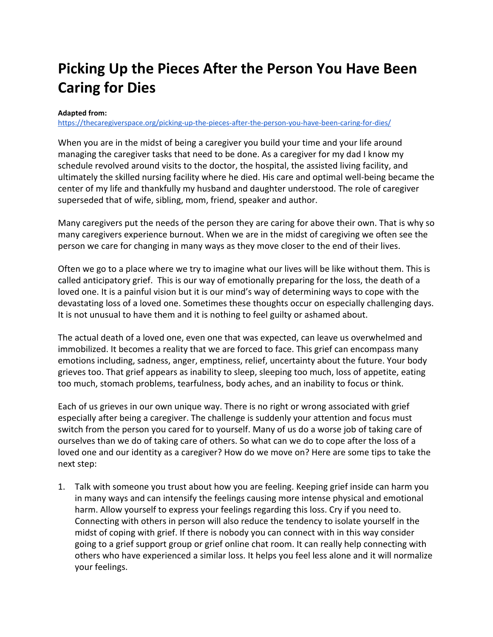## **Picking Up the Pieces After the Person You Have Been Caring for Dies**

## **Adapted from:**

<https://thecaregiverspace.org/picking-up-the-pieces-after-the-person-you-have-been-caring-for-dies/>

When you are in the midst of being a caregiver you build your time and your life around managing the caregiver tasks that need to be done. As a caregiver for my dad I know my schedule revolved around visits to the doctor, the hospital, the assisted living facility, and ultimately the skilled nursing facility where he died. His care and optimal well-being became the center of my life and thankfully my husband and daughter understood. The role of caregiver superseded that of wife, sibling, mom, friend, speaker and author.

Many caregivers put the needs of the person they are caring for above their own. That is why so many caregivers experience burnout. When we are in the midst of caregiving we often see the person we care for changing in many ways as they move closer to the end of their lives.

Often we go to a place where we try to imagine what our lives will be like without them. This is called anticipatory grief. This is our way of emotionally preparing for the loss, the death of a loved one. It is a painful vision but it is our mind's way of determining ways to cope with the devastating loss of a loved one. Sometimes these thoughts occur on especially challenging days. It is not unusual to have them and it is nothing to feel guilty or ashamed about.

The actual death of a loved one, even one that was expected, can leave us overwhelmed and immobilized. It becomes a reality that we are forced to face. This grief can encompass many emotions including, sadness, anger, emptiness, relief, uncertainty about the future. Your body grieves too. That grief appears as inability to sleep, sleeping too much, loss of appetite, eating too much, stomach problems, tearfulness, body aches, and an inability to focus or think.

Each of us grieves in our own unique way. There is no right or wrong associated with grief especially after being a caregiver. The challenge is suddenly your attention and focus must switch from the person you cared for to yourself. Many of us do a worse job of taking care of ourselves than we do of taking care of others. So what can we do to cope after the loss of a loved one and our identity as a caregiver? How do we move on? Here are some tips to take the next step:

1. Talk with someone you trust about how you are feeling. Keeping grief inside can harm you in many ways and can intensify the feelings causing more intense physical and emotional harm. Allow yourself to express your feelings regarding this loss. Cry if you need to. Connecting with others in person will also reduce the tendency to isolate yourself in the midst of coping with grief. If there is nobody you can connect with in this way consider going to a grief support group or grief online chat room. It can really help connecting with others who have experienced a similar loss. It helps you feel less alone and it will normalize your feelings.